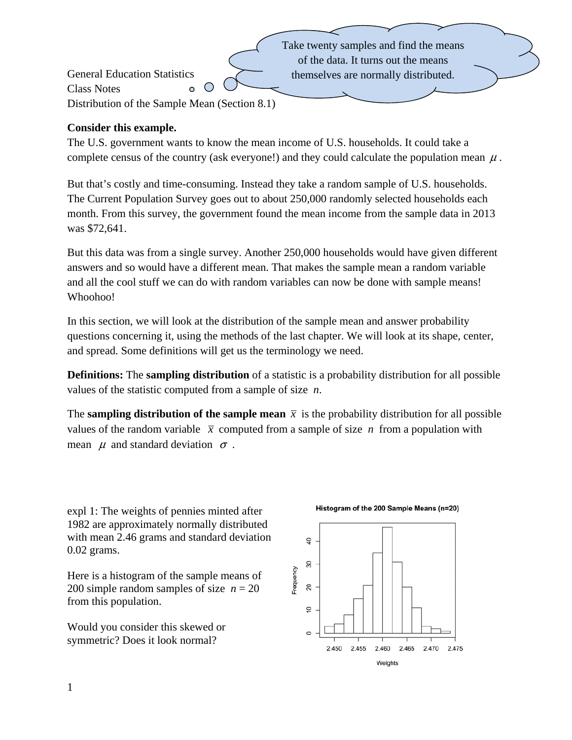Take twenty samples and find the means of the data. It turns out the means General Education Statistics themselves are normally distributed. Class Notes  $\bullet$ Distribution of the Sample Mean (Section 8.1)

## **Consider this example.**

The U.S. government wants to know the mean income of U.S. households. It could take a complete census of the country (ask everyone!) and they could calculate the population mean  $\mu$ .

But that's costly and time-consuming. Instead they take a random sample of U.S. households. The Current Population Survey goes out to about 250,000 randomly selected households each month. From this survey, the government found the mean income from the sample data in 2013 was \$72,641.

But this data was from a single survey. Another 250,000 households would have given different answers and so would have a different mean. That makes the sample mean a random variable and all the cool stuff we can do with random variables can now be done with sample means! Whoohoo!

In this section, we will look at the distribution of the sample mean and answer probability questions concerning it, using the methods of the last chapter. We will look at its shape, center, and spread. Some definitions will get us the terminology we need.

**Definitions:** The **sampling distribution** of a statistic is a probability distribution for all possible values of the statistic computed from a sample of size *n*.

The **sampling distribution of the sample mean**  $\bar{x}$  is the probability distribution for all possible values of the random variable  $\bar{x}$  computed from a sample of size *n* from a population with mean  $\mu$  and standard deviation  $\sigma$ .

expl 1: The weights of pennies minted after 1982 are approximately normally distributed with mean 2.46 grams and standard deviation 0.02 grams.

Here is a histogram of the sample means of 200 simple random samples of size  $n = 20$ from this population.

Would you consider this skewed or symmetric? Does it look normal?

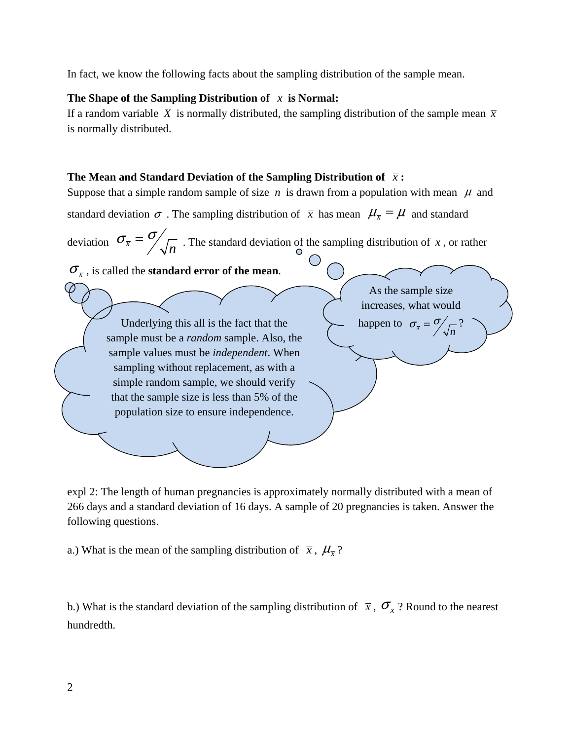In fact, we know the following facts about the sampling distribution of the sample mean.

#### The Shape of the Sampling Distribution of  $\bar{x}$  is Normal:

If a random variable X is normally distributed, the sampling distribution of the sample mean  $\bar{x}$ is normally distributed.

## **The Mean and Standard Deviation of the Sampling Distribution of**  $\bar{x}$ **:**

Suppose that a simple random sample of size  $n$  is drawn from a population with mean  $\mu$  and standard deviation  $\sigma$ . The sampling distribution of  $\bar{x}$  has mean  $\mu_{\bar{x}} = \mu$  and standard deviation  $\sigma_{\overline{x}} = \frac{\sigma}{\sqrt{n}}$ . The standard deviation of the sampling distribution of  $\overline{x}$ , or rather  $\sigma_{\overline{x}}$ , is called the **standard error of the mean**. Underlying this all is the fact that the sample must be a *random* sample. Also, the sample values must be *independent*. When sampling without replacement, as with a simple random sample, we should verify that the sample size is less than 5% of the population size to ensure independence. As the sample size increases, what would happen to  $\sigma_{\overline{x}} = \frac{\sigma}{\sqrt{n}}$ ?

expl 2: The length of human pregnancies is approximately normally distributed with a mean of 266 days and a standard deviation of 16 days. A sample of 20 pregnancies is taken. Answer the following questions.

a.) What is the mean of the sampling distribution of  $\bar{x}$ ,  $\mu_{\bar{x}}$ ?

b.) What is the standard deviation of the sampling distribution of  $\bar{x}$ ,  $\sigma_{\bar{x}}$ ? Round to the nearest hundredth.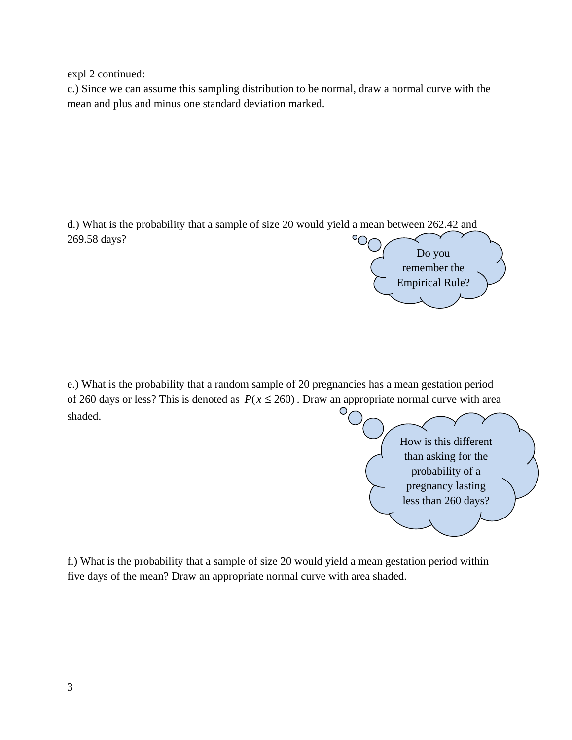expl 2 continued:

c.) Since we can assume this sampling distribution to be normal, draw a normal curve with the mean and plus and minus one standard deviation marked.

d.) What is the probability that a sample of size 20 would yield a mean between 262.42 and 269.58 days?



e.) What is the probability that a random sample of 20 pregnancies has a mean gestation period of 260 days or less? This is denoted as  $P(\bar{x} \le 260)$ . Draw an appropriate normal curve with area shaded.

> How is this different than asking for the probability of a pregnancy lasting less than 260 days?

f.) What is the probability that a sample of size 20 would yield a mean gestation period within five days of the mean? Draw an appropriate normal curve with area shaded.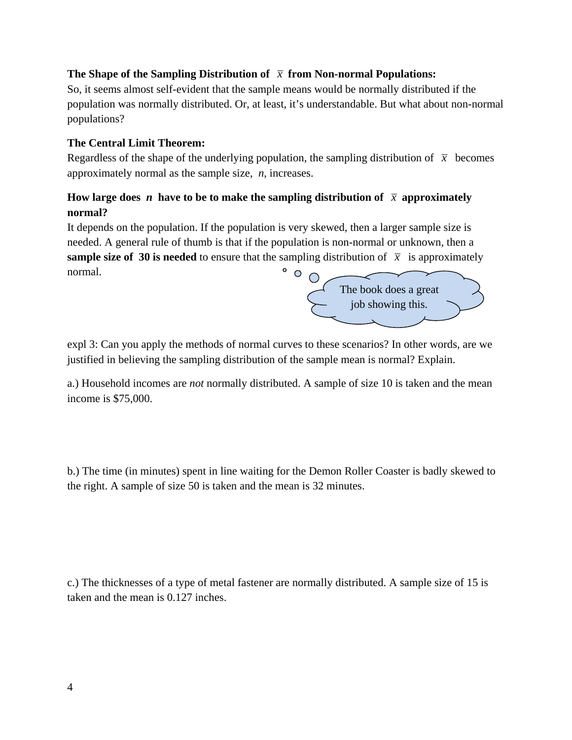#### **The Shape of the Sampling Distribution of**  $\bar{x}$  **from Non-normal Populations:**

So, it seems almost self-evident that the sample means would be normally distributed if the population was normally distributed. Or, at least, it's understandable. But what about non-normal populations?

## **The Central Limit Theorem:**

Regardless of the shape of the underlying population, the sampling distribution of  $\bar{x}$  becomes approximately normal as the sample size, *n*, increases.

# **How large does** *n* have to be to make the sampling distribution of  $\bar{x}$  approximately **normal?**

It depends on the population. If the population is very skewed, then a larger sample size is needed. A general rule of thumb is that if the population is non-normal or unknown, then a **sample size of 30 is needed** to ensure that the sampling distribution of  $\bar{x}$  is approximately  $\circ$   $\circ$ normal.

The book does a great job showing this.

expl 3: Can you apply the methods of normal curves to these scenarios? In other words, are we justified in believing the sampling distribution of the sample mean is normal? Explain.

a.) Household incomes are *not* normally distributed. A sample of size 10 is taken and the mean income is \$75,000.

b.) The time (in minutes) spent in line waiting for the Demon Roller Coaster is badly skewed to the right. A sample of size 50 is taken and the mean is 32 minutes.

c.) The thicknesses of a type of metal fastener are normally distributed. A sample size of 15 is taken and the mean is 0.127 inches.